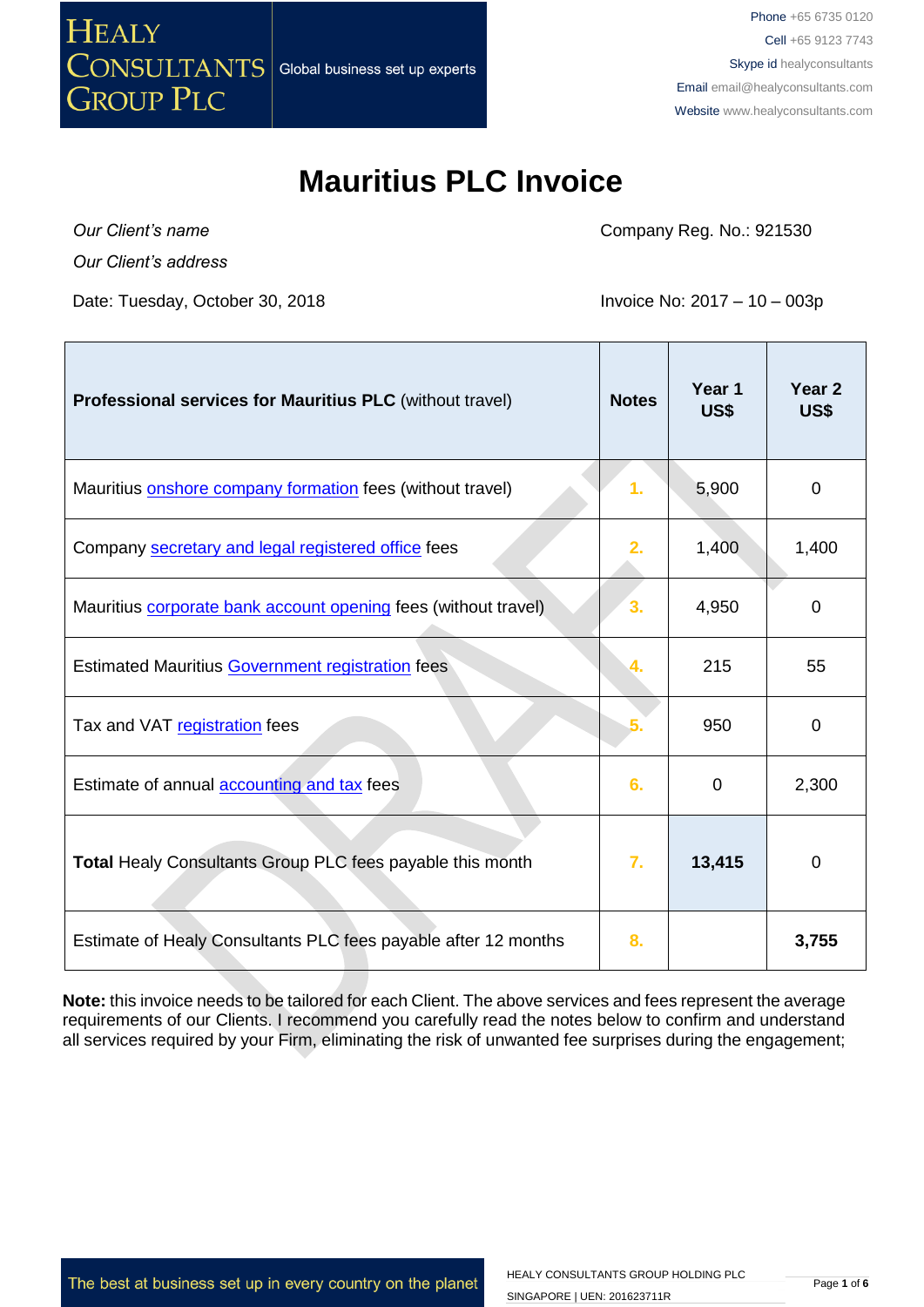

Phone +65 6735 0120 Cell +65 9123 7743 Skype id healyconsultants Email [email@healyconsultants.com](mailto:EMAIL@HEALYCONSULTANTS.COM) Website [www.healyconsultants.com](http://www.healyconsultants.com/)

Τ

### **Mauritius PLC Invoice**

*Our Client's name Our Client's address*

T

Date: Tuesday, October 30, 2018 **Invoice No: 2017 – 10 – 003p** 

Company Reg. No.: 921530

Τ

| Professional services for Mauritius PLC (without travel)         | <b>Notes</b> | Year 1<br>US\$ | Year 2<br>US\$ |
|------------------------------------------------------------------|--------------|----------------|----------------|
| Mauritius onshore company formation fees (without travel)        | 1.           | 5,900          | 0              |
| Company secretary and legal registered office fees               | 2.           | 1,400          | 1,400          |
| Mauritius corporate bank account opening fees (without travel)   | 3.           | 4,950          | 0              |
| <b>Estimated Mauritius Government registration fees</b>          | 4.           | 215            | 55             |
| Tax and VAT registration fees                                    |              | 950            | $\Omega$       |
| Estimate of annual accounting and tax fees                       | 6.           | 0              | 2,300          |
| <b>Total Healy Consultants Group PLC fees payable this month</b> | 7.           | 13,415         | 0              |
| Estimate of Healy Consultants PLC fees payable after 12 months   | 8.           |                | 3,755          |

**Note:** this invoice needs to be tailored for each Client. The above services and fees represent the average requirements of our Clients. I recommend you carefully read the notes below to confirm and understand all services required by your Firm, eliminating the risk of unwanted fee surprises during the engagement;

The best at business set up in every country on the planet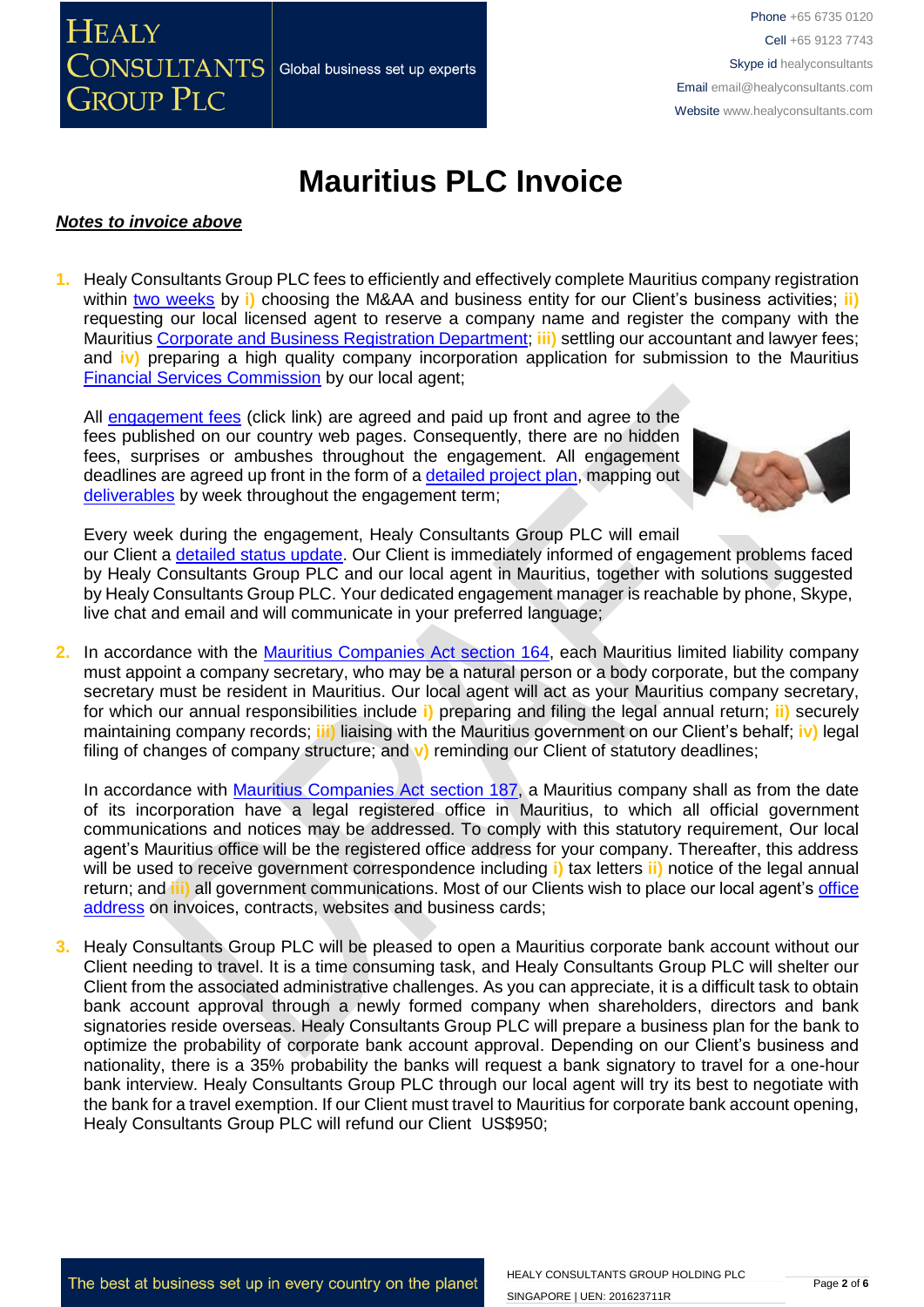Phone +65 6735 0120 Cell +65 9123 7743 Skype id healyconsultants Email [email@healyconsultants.com](mailto:EMAIL@HEALYCONSULTANTS.COM) Website [www.healyconsultants.com](http://www.healyconsultants.com/)

# **Mauritius PLC Invoice**

#### *Notes to invoice above*

CONSULTANTS

**GROUP PLC** 

**HEALY** 

**1.** Healy Consultants Group PLC fees to efficiently and effectively complete Mauritius company registration within [two weeks](http://www.healyconsultants.com/mauritius-company-registration/fees-timelines/) by *i*) choosing the M&AA and business entity for our Client's business activities; *ii*) requesting our local licensed agent to reserve a company name and register the company with the Mauritius [Corporate and Business Registration Department;](file:///D:/Downloads/companies.govmu.org/) **iii)** settling our accountant and lawyer fees; and **iv)** preparing a high quality company incorporation application for submission to the Mauritius [Financial Services Commission](http://www.fscmauritius.org/being-licensed/applying-for-a-licence/global-business.aspx) by our local agent;

All [engagement fees](http://www.healyconsultants.com/company-registration-fees/) (click link) are agreed and paid up front and agree to the fees published on our country web pages. Consequently, there are no hidden fees, surprises or ambushes throughout the engagement. All engagement deadlines are agreed up front in the form of a [detailed project plan,](http://www.healyconsultants.com/index-important-links/example-project-plan/) mapping out [deliverables](http://www.healyconsultants.com/deliverables-to-our-clients/) by week throughout the engagement term;

Global business set up experts



Every week during the engagement, Healy Consultants Group PLC will email

our Client a [detailed status update.](http://www.healyconsultants.com/index-important-links/weekly-engagement-status-email/) Our Client is immediately informed of engagement problems faced by Healy Consultants Group PLC and our local agent in Mauritius, together with solutions suggested by Healy Consultants Group PLC. Your dedicated engagement manager is reachable by phone, Skype, live chat and email and will communicate in your preferred language;

**2.** In accordance with the [Mauritius Companies Act section 164,](http://www.tridenttrust.com/pdfs/mau_comp_act_2001.pdf) each Mauritius limited liability company must appoint a company secretary, who may be a natural person or a body corporate, but the company secretary must be resident in Mauritius. Our local agent will act as your Mauritius company secretary, for which our annual responsibilities include **i)** preparing and filing the legal annual return; **ii)** securely maintaining company records; **iii)** liaising with the Mauritius government on our Client's behalf; **iv)** legal filing of changes of company structure; and **v)** reminding our Client of statutory deadlines;

In accordance with [Mauritius Companies Act section 187,](http://www.tridenttrust.com/pdfs/mau_comp_act_2001.pdf) a Mauritius company shall as from the date of its incorporation have a legal registered office in Mauritius, to which all official government communications and notices may be addressed. To comply with this statutory requirement, Our local agent's Mauritius office will be the registered office address for your company. Thereafter, this address will be used to receive government correspondence including **i)** tax letters **ii)** notice of the legal annual return; and **iii)** all government communications. Most of our Clients wish to place our local agent's [office](http://www.healyconsultants.com/corporate-outsourcing-services/company-secretary-and-legal-registered-office/)  [address](http://www.healyconsultants.com/corporate-outsourcing-services/company-secretary-and-legal-registered-office/) on invoices, contracts, websites and business cards;

**3.** Healy Consultants Group PLC will be pleased to open a Mauritius corporate bank account without our Client needing to travel. It is a time consuming task, and Healy Consultants Group PLC will shelter our Client from the associated administrative challenges. As you can appreciate, it is a difficult task to obtain bank account approval through a newly formed company when shareholders, directors and bank signatories reside overseas. Healy Consultants Group PLC will prepare a business plan for the bank to optimize the probability of corporate bank account approval. Depending on our Client's business and nationality, there is a 35% probability the banks will request a bank signatory to travel for a one-hour bank interview. Healy Consultants Group PLC through our local agent will try its best to negotiate with the bank for a travel exemption. If our Client must travel to Mauritius for corporate bank account opening, Healy Consultants Group PLC will refund our Client US\$950;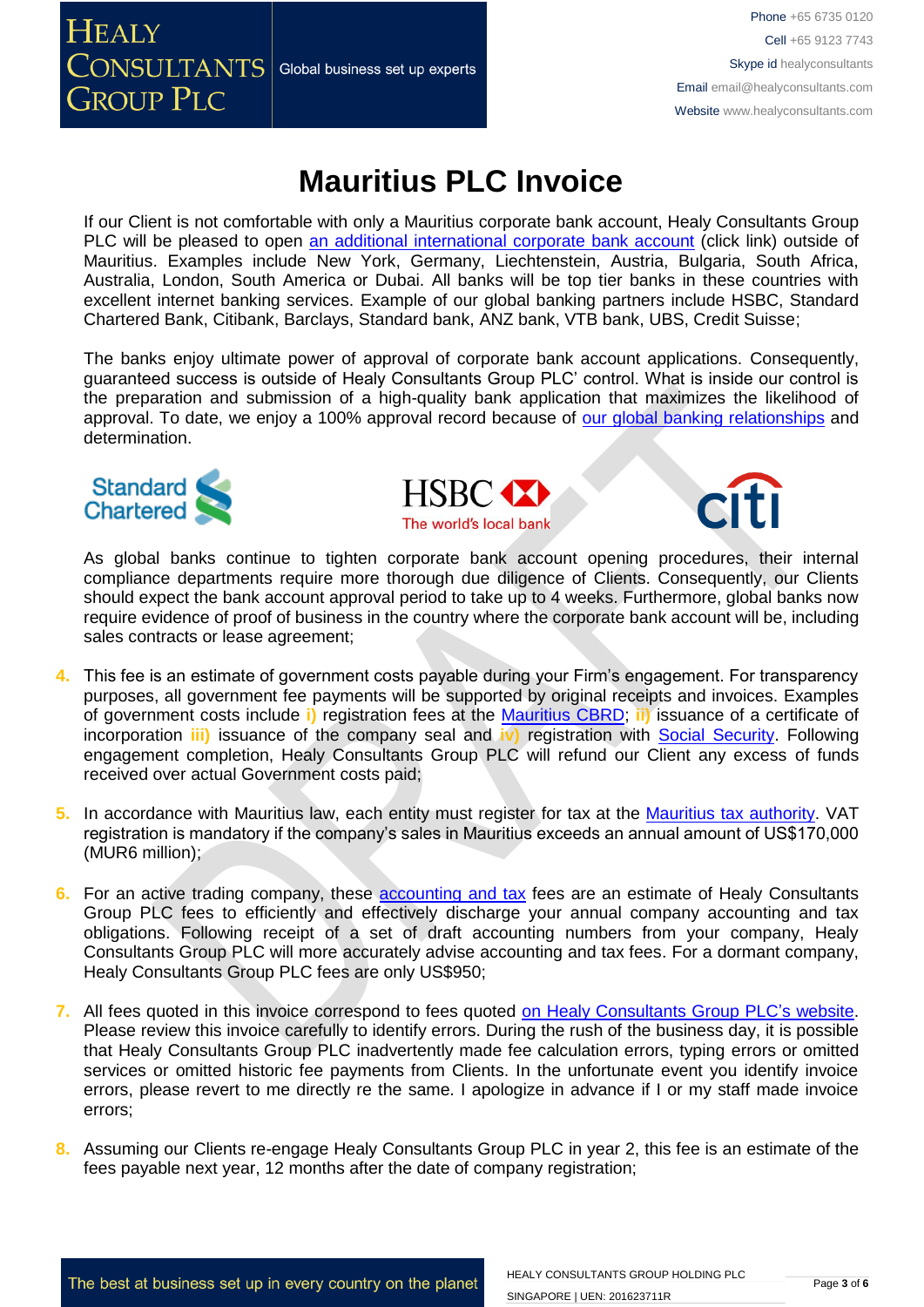**HEALY**  $\overline{\text{CONSULTANTS}}\vert$  Global business set up experts **GROUP PLC** 

Phone +65 6735 0120 Cell +65 9123 7743 Skype id healyconsultants Email [email@healyconsultants.com](mailto:EMAIL@HEALYCONSULTANTS.COM) Website [www.healyconsultants.com](http://www.healyconsultants.com/)

### **Mauritius PLC Invoice**

If our Client is not comfortable with only a Mauritius corporate bank account, Healy Consultants Group PLC will be pleased to open [an additional international corporate bank account](http://www.healyconsultants.com/international-banking/) (click link) outside of Mauritius. Examples include New York, Germany, Liechtenstein, Austria, Bulgaria, South Africa, Australia, London, South America or Dubai. All banks will be top tier banks in these countries with excellent internet banking services. Example of our global banking partners include HSBC, Standard Chartered Bank, Citibank, Barclays, Standard bank, ANZ bank, VTB bank, UBS, Credit Suisse;

The banks enjoy ultimate power of approval of corporate bank account applications. Consequently, guaranteed success is outside of Healy Consultants Group PLC' control. What is inside our control is the preparation and submission of a high-quality bank application that maximizes the likelihood of approval. To date, we enjoy a 100% approval record because of [our global banking relationships](http://www.healyconsultants.com/international-banking/corporate-accounts/) and determination.







As global banks continue to tighten corporate bank account opening procedures, their internal compliance departments require more thorough due diligence of Clients. Consequently, our Clients should expect the bank account approval period to take up to 4 weeks. Furthermore, global banks now require evidence of proof of business in the country where the corporate bank account will be, including sales contracts or lease agreement;

- **4.** This fee is an estimate of government costs payable during your Firm's engagement. For transparency purposes, all government fee payments will be supported by original receipts and invoices. Examples of government costs include **i)** registration fees at the [Mauritius CBRD;](http://companies.govmu.org/English/Pages/default.aspx) **ii)** issuance of a certificate of incorporation **iii)** issuance of the company seal and **iv)** registration with [Social Security.](http://socialsecurity.govmu.org/English/Pages/default.aspx) Following engagement completion, Healy Consultants Group PLC will refund our Client any excess of funds received over actual Government costs paid;
- **5.** In accordance with Mauritius law, each entity must register for tax at the [Mauritius tax authority.](http://www.mra.mu/) VAT registration is mandatory if the company's sales in Mauritius exceeds an annual amount of US\$170,000 (MUR6 million);
- **6.** For an active trading company, these [accounting and tax](http://www.healyconsultants.com/mauritius-company-registration/accounting-legal/) fees are an estimate of Healy Consultants Group PLC fees to efficiently and effectively discharge your annual company accounting and tax obligations. Following receipt of a set of draft accounting numbers from your company, Healy Consultants Group PLC will more accurately advise accounting and tax fees. For a dormant company, Healy Consultants Group PLC fees are only US\$950;
- **7.** All fees quoted in this invoice correspond to fees quoted [on Healy Consultants Group PLC's](http://www.healyconsultants.com/company-registration-fees/) website. Please review this invoice carefully to identify errors. During the rush of the business day, it is possible that Healy Consultants Group PLC inadvertently made fee calculation errors, typing errors or omitted services or omitted historic fee payments from Clients. In the unfortunate event you identify invoice errors, please revert to me directly re the same. I apologize in advance if I or my staff made invoice errors;
- **8.** Assuming our Clients re-engage Healy Consultants Group PLC in year 2, this fee is an estimate of the fees payable next year, 12 months after the date of company registration;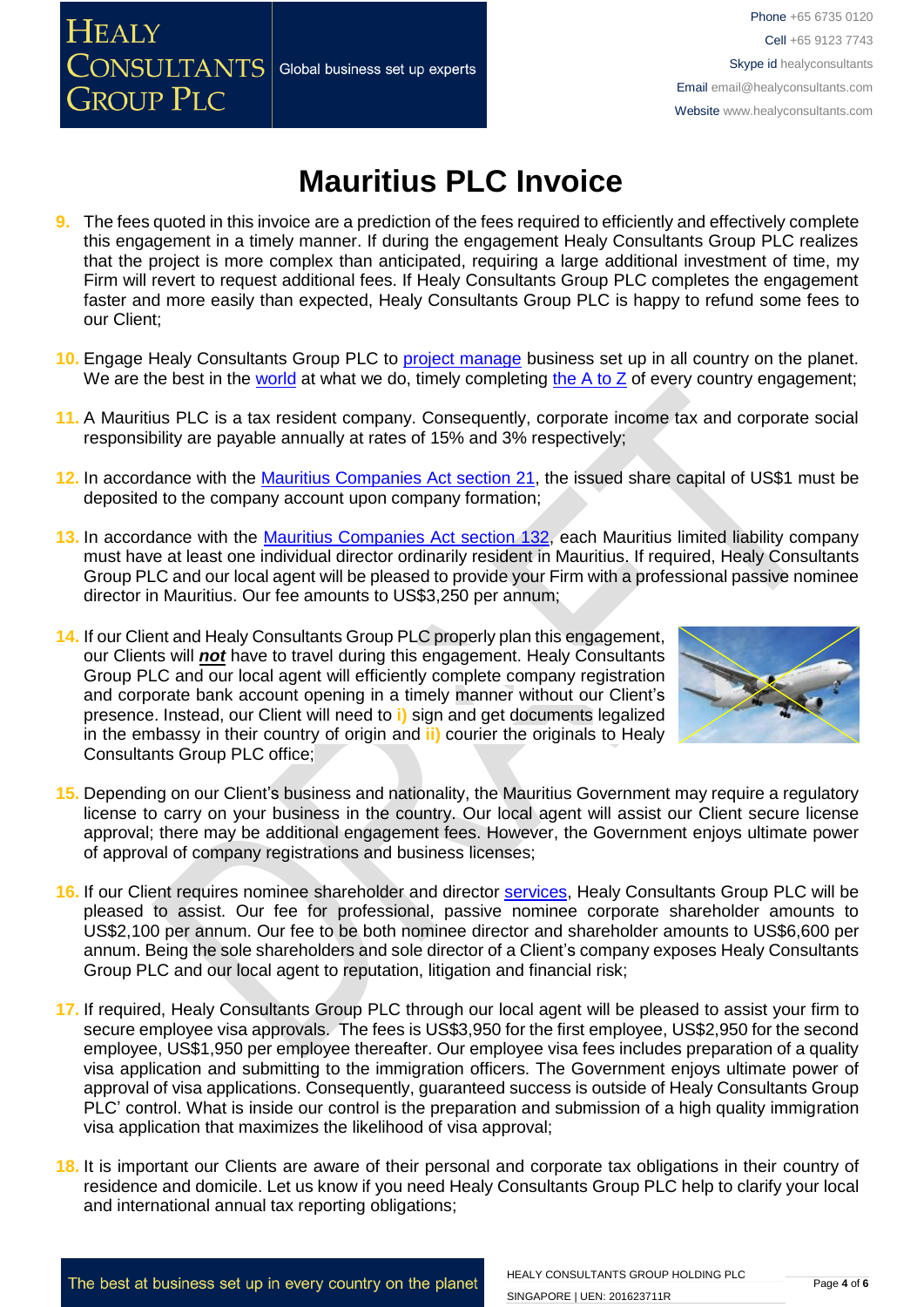# **Mauritius PLC Invoice**

- **9.** The fees quoted in this invoice are a prediction of the fees required to efficiently and effectively complete this engagement in a timely manner. If during the engagement Healy Consultants Group PLC realizes that the project is more complex than anticipated, requiring a large additional investment of time, my Firm will revert to request additional fees. If Healy Consultants Group PLC completes the engagement faster and more easily than expected, Healy Consultants Group PLC is happy to refund some fees to our Client;
- 10. Engage Healy Consultants Group PLC to [project manage](http://www.healyconsultants.com/project-manage-engagements/) business set up in all country on the planet. We are the best in the [world](http://www.healyconsultants.com/best-in-the-world/) at what we do, timely completing the  $A$  to  $Z$  of every country engagement;
- **11.** A Mauritius PLC is a tax resident company. Consequently, corporate income tax and corporate social responsibility are payable annually at rates of 15% and 3% respectively;
- **12.** In accordance with the [Mauritius Companies Act section 21,](http://www.tridenttrust.com/pdfs/mau_comp_act_2001.pdf) the issued share capital of US\$1 must be deposited to the company account upon company formation;
- **13.** In accordance with the [Mauritius Companies Act section 132,](http://www.tridenttrust.com/pdfs/mau_comp_act_2001.pdf) each Mauritius limited liability company must have at least one individual director ordinarily resident in Mauritius. If required, Healy Consultants Group PLC and our local agent will be pleased to provide your Firm with a professional passive nominee director in Mauritius. Our fee amounts to US\$3,250 per annum;
- **14.** If our Client and Healy Consultants Group PLC properly plan this engagement, our Clients will *not* have to travel during this engagement. Healy Consultants Group PLC and our local agent will efficiently complete company registration and corporate bank account opening in a timely manner without our Client's presence. Instead, our Client will need to **i)** sign and get documents legalized in the embassy in their country of origin and **ii)** courier the originals to Healy Consultants Group PLC office;
- **15.** Depending on our Client's business and nationality, the Mauritius Government may require a regulatory license to carry on your business in the country. Our local agent will assist our Client secure license approval; there may be additional engagement fees. However, the Government enjoys ultimate power of approval of company registrations and business licenses;
- **16.** If our Client requires nominee shareholder and director [services,](http://www.healyconsultants.com/corporate-outsourcing-services/nominee-shareholders-directors/) Healy Consultants Group PLC will be pleased to assist. Our fee for professional, passive nominee corporate shareholder amounts to US\$2,100 per annum. Our fee to be both nominee director and shareholder amounts to US\$6,600 per annum. Being the sole shareholders and sole director of a Client's company exposes Healy Consultants Group PLC and our local agent to reputation, litigation and financial risk;
- **17.** If required, Healy Consultants Group PLC through our local agent will be pleased to assist your firm to secure employee visa approvals. The fees is US\$3,950 for the first employee, US\$2,950 for the second employee, US\$1,950 per employee thereafter. Our employee visa fees includes preparation of a quality visa application and submitting to the immigration officers. The Government enjoys ultimate power of approval of visa applications. Consequently, guaranteed success is outside of Healy Consultants Group PLC' control. What is inside our control is the preparation and submission of a high quality immigration visa application that maximizes the likelihood of visa approval;
- **18.** It is important our Clients are aware of their personal and corporate tax obligations in their country of residence and domicile. Let us know if you need Healy Consultants Group PLC help to clarify your local and international annual tax reporting obligations;



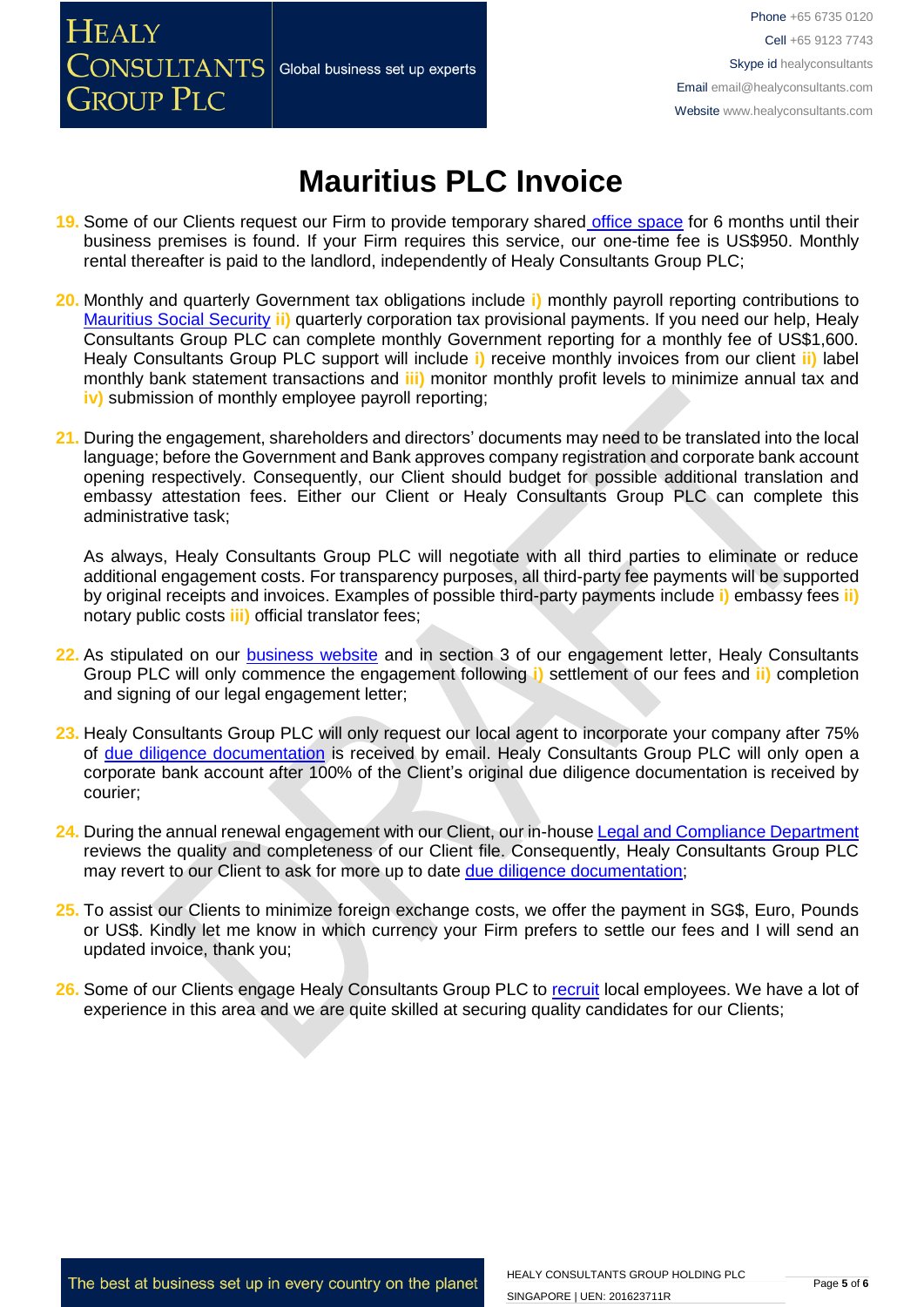### **HEALY CONSULTANTS** Global business set up experts **GROUP PLC**

Phone +65 6735 0120 Cell +65 9123 7743 Skype id healyconsultants Email [email@healyconsultants.com](mailto:EMAIL@HEALYCONSULTANTS.COM) Website [www.healyconsultants.com](http://www.healyconsultants.com/)

## **Mauritius PLC Invoice**

- **19.** Some of our Clients request our Firm to provide temporary shared [office space](http://www.healyconsultants.com/virtual-office/) for 6 months until their business premises is found. If your Firm requires this service, our one-time fee is US\$950. Monthly rental thereafter is paid to the landlord, independently of Healy Consultants Group PLC;
- **20.** Monthly and quarterly Government tax obligations include **i)** monthly payroll reporting contributions to [Mauritius Social Security](http://socialsecurity.govmu.org/English/Pages/default.aspx) **ii)** quarterly corporation tax provisional payments. If you need our help, Healy Consultants Group PLC can complete monthly Government reporting for a monthly fee of US\$1,600. Healy Consultants Group PLC support will include **i)** receive monthly invoices from our client **ii)** label monthly bank statement transactions and **iii)** monitor monthly profit levels to minimize annual tax and **iv)** submission of monthly employee payroll reporting;
- **21.** During the engagement, shareholders and directors' documents may need to be translated into the local language; before the Government and Bank approves company registration and corporate bank account opening respectively. Consequently, our Client should budget for possible additional translation and embassy attestation fees. Either our Client or Healy Consultants Group PLC can complete this administrative task;

As always, Healy Consultants Group PLC will negotiate with all third parties to eliminate or reduce additional engagement costs. For transparency purposes, all third-party fee payments will be supported by original receipts and invoices. Examples of possible third-party payments include **i)** embassy fees **ii)** notary public costs **iii)** official translator fees;

- **22.** As stipulated on our [business website](http://www.healyconsultants.com/) and in section 3 of our engagement letter, Healy Consultants Group PLC will only commence the engagement following **i)** settlement of our fees and **ii)** completion and signing of our legal engagement letter;
- **23.** Healy Consultants Group PLC will only request our local agent to incorporate your company after 75% of [due diligence documentation](http://www.healyconsultants.com/due-diligence/) is received by email. Healy Consultants Group PLC will only open a corporate bank account after 100% of the Client's original due diligence documentation is received by courier;
- **24.** During the annual renewal engagement with our Client, our in-house [Legal and Compliance Department](http://www.healyconsultants.com/about-us/key-personnel/cai-xin-profile/) reviews the quality and completeness of our Client file. Consequently, Healy Consultants Group PLC may revert to our Client to ask for more up to date [due diligence documentation;](http://www.healyconsultants.com/due-diligence/)
- **25.** To assist our Clients to minimize foreign exchange costs, we offer the payment in SG\$, Euro, Pounds or US\$. Kindly let me know in which currency your Firm prefers to settle our fees and I will send an updated invoice, thank you;
- 26. Some of our Clients engage Healy Consultants Group PLC to [recruit](http://www.healyconsultants.com/corporate-outsourcing-services/how-we-help-our-clients-recruit-quality-employees/) local employees. We have a lot of experience in this area and we are quite skilled at securing quality candidates for our Clients;